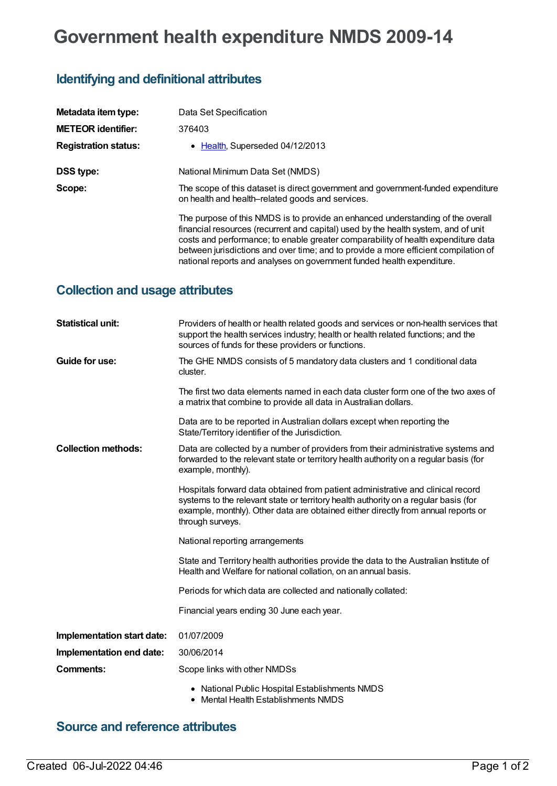# **Government health expenditure NMDS 2009-14**

## **Identifying and definitional attributes**

| Metadata item type:         | Data Set Specification                                                                                                                                                                                                                                                                                                                                                                                                      |
|-----------------------------|-----------------------------------------------------------------------------------------------------------------------------------------------------------------------------------------------------------------------------------------------------------------------------------------------------------------------------------------------------------------------------------------------------------------------------|
| <b>METEOR identifier:</b>   | 376403                                                                                                                                                                                                                                                                                                                                                                                                                      |
| <b>Registration status:</b> | • Health, Superseded 04/12/2013                                                                                                                                                                                                                                                                                                                                                                                             |
| <b>DSS type:</b>            | National Minimum Data Set (NMDS)                                                                                                                                                                                                                                                                                                                                                                                            |
| Scope:                      | The scope of this dataset is direct government and government-funded expenditure<br>on health and health-related goods and services.                                                                                                                                                                                                                                                                                        |
|                             | The purpose of this NMDS is to provide an enhanced understanding of the overall<br>financial resources (recurrent and capital) used by the health system, and of unit<br>costs and performance; to enable greater comparability of health expenditure data<br>between jurisdictions and over time; and to provide a more efficient compilation of<br>national reports and analyses on government funded health expenditure. |

#### **Collection and usage attributes**

| <b>Statistical unit:</b>   | Providers of health or health related goods and services or non-health services that<br>support the health services industry; health or health related functions; and the<br>sources of funds for these providers or functions.                                                 |
|----------------------------|---------------------------------------------------------------------------------------------------------------------------------------------------------------------------------------------------------------------------------------------------------------------------------|
| Guide for use:             | The GHE NMDS consists of 5 mandatory data clusters and 1 conditional data<br>cluster.                                                                                                                                                                                           |
|                            | The first two data elements named in each data cluster form one of the two axes of<br>a matrix that combine to provide all data in Australian dollars.                                                                                                                          |
|                            | Data are to be reported in Australian dollars except when reporting the<br>State/Territory identifier of the Jurisdiction.                                                                                                                                                      |
| <b>Collection methods:</b> | Data are collected by a number of providers from their administrative systems and<br>forwarded to the relevant state or territory health authority on a regular basis (for<br>example, monthly).                                                                                |
|                            | Hospitals forward data obtained from patient administrative and clinical record<br>systems to the relevant state or territory health authority on a regular basis (for<br>example, monthly). Other data are obtained either directly from annual reports or<br>through surveys. |
|                            | National reporting arrangements                                                                                                                                                                                                                                                 |
|                            | State and Territory health authorities provide the data to the Australian Institute of<br>Health and Welfare for national collation, on an annual basis.                                                                                                                        |
|                            | Periods for which data are collected and nationally collated:                                                                                                                                                                                                                   |
|                            | Financial years ending 30 June each year.                                                                                                                                                                                                                                       |
| Implementation start date: | 01/07/2009                                                                                                                                                                                                                                                                      |
| Implementation end date:   | 30/06/2014                                                                                                                                                                                                                                                                      |
| Comments:                  | Scope links with other NMDSs                                                                                                                                                                                                                                                    |
|                            | • National Public Hospital Establishments NMDS                                                                                                                                                                                                                                  |

Mental Health Establishments NMDS

#### **Source and reference attributes**